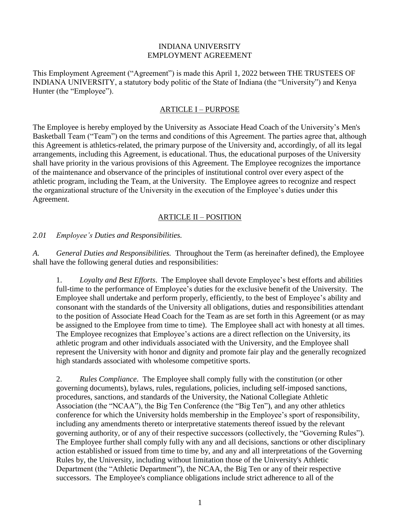#### INDIANA UNIVERSITY EMPLOYMENT AGREEMENT

This Employment Agreement ("Agreement") is made this April 1, 2022 between THE TRUSTEES OF INDIANA UNIVERSITY, a statutory body politic of the State of Indiana (the "University") and Kenya Hunter (the "Employee").

#### ARTICLE I – PURPOSE

The Employee is hereby employed by the University as Associate Head Coach of the University's Men's Basketball Team ("Team") on the terms and conditions of this Agreement. The parties agree that, although this Agreement is athletics-related, the primary purpose of the University and, accordingly, of all its legal arrangements, including this Agreement, is educational. Thus, the educational purposes of the University shall have priority in the various provisions of this Agreement. The Employee recognizes the importance of the maintenance and observance of the principles of institutional control over every aspect of the athletic program, including the Team, at the University. The Employee agrees to recognize and respect the organizational structure of the University in the execution of the Employee's duties under this Agreement.

#### ARTICLE II – POSITION

*2.01 Employee's Duties and Responsibilities.*

*A. General Duties and Responsibilities.* Throughout the Term (as hereinafter defined), the Employee shall have the following general duties and responsibilities:

1. *Loyalty and Best Efforts*. The Employee shall devote Employee's best efforts and abilities full-time to the performance of Employee's duties for the exclusive benefit of the University. The Employee shall undertake and perform properly, efficiently, to the best of Employee's ability and consonant with the standards of the University all obligations, duties and responsibilities attendant to the position of Associate Head Coach for the Team as are set forth in this Agreement (or as may be assigned to the Employee from time to time). The Employee shall act with honesty at all times. The Employee recognizes that Employee's actions are a direct reflection on the University, its athletic program and other individuals associated with the University, and the Employee shall represent the University with honor and dignity and promote fair play and the generally recognized high standards associated with wholesome competitive sports.

2. *Rules Compliance*. The Employee shall comply fully with the constitution (or other governing documents), bylaws, rules, regulations, policies, including self-imposed sanctions, procedures, sanctions, and standards of the University, the National Collegiate Athletic Association (the "NCAA"), the Big Ten Conference (the "Big Ten"), and any other athletics conference for which the University holds membership in the Employee's sport of responsibility, including any amendments thereto or interpretative statements thereof issued by the relevant governing authority, or of any of their respective successors (collectively, the "Governing Rules"). The Employee further shall comply fully with any and all decisions, sanctions or other disciplinary action established or issued from time to time by, and any and all interpretations of the Governing Rules by, the University, including without limitation those of the University's Athletic Department (the "Athletic Department"), the NCAA, the Big Ten or any of their respective successors. The Employee's compliance obligations include strict adherence to all of the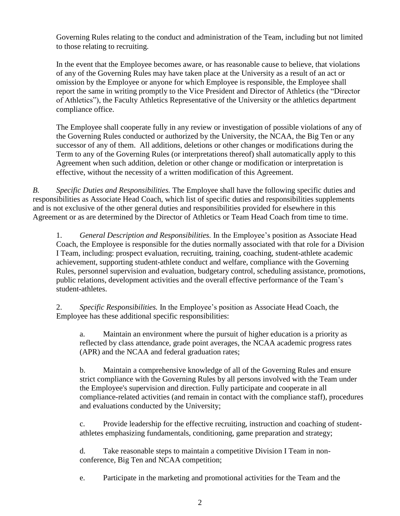Governing Rules relating to the conduct and administration of the Team, including but not limited to those relating to recruiting.

In the event that the Employee becomes aware, or has reasonable cause to believe, that violations of any of the Governing Rules may have taken place at the University as a result of an act or omission by the Employee or anyone for which Employee is responsible, the Employee shall report the same in writing promptly to the Vice President and Director of Athletics (the "Director of Athletics"), the Faculty Athletics Representative of the University or the athletics department compliance office.

The Employee shall cooperate fully in any review or investigation of possible violations of any of the Governing Rules conducted or authorized by the University, the NCAA, the Big Ten or any successor of any of them. All additions, deletions or other changes or modifications during the Term to any of the Governing Rules (or interpretations thereof) shall automatically apply to this Agreement when such addition, deletion or other change or modification or interpretation is effective, without the necessity of a written modification of this Agreement.

*B. Specific Duties and Responsibilities.* The Employee shall have the following specific duties and responsibilities as Associate Head Coach, which list of specific duties and responsibilities supplements and is not exclusive of the other general duties and responsibilities provided for elsewhere in this Agreement or as are determined by the Director of Athletics or Team Head Coach from time to time.

1. *General Description and Responsibilities.* In the Employee's position as Associate Head Coach, the Employee is responsible for the duties normally associated with that role for a Division I Team, including: prospect evaluation, recruiting, training, coaching, student-athlete academic achievement, supporting student-athlete conduct and welfare, compliance with the Governing Rules, personnel supervision and evaluation, budgetary control, scheduling assistance, promotions, public relations, development activities and the overall effective performance of the Team's student-athletes.

2. *Specific Responsibilities.* In the Employee's position as Associate Head Coach, the Employee has these additional specific responsibilities:

a. Maintain an environment where the pursuit of higher education is a priority as reflected by class attendance, grade point averages, the NCAA academic progress rates (APR) and the NCAA and federal graduation rates;

b. Maintain a comprehensive knowledge of all of the Governing Rules and ensure strict compliance with the Governing Rules by all persons involved with the Team under the Employee's supervision and direction. Fully participate and cooperate in all compliance-related activities (and remain in contact with the compliance staff), procedures and evaluations conducted by the University;

c. Provide leadership for the effective recruiting, instruction and coaching of studentathletes emphasizing fundamentals, conditioning, game preparation and strategy;

d. Take reasonable steps to maintain a competitive Division I Team in nonconference, Big Ten and NCAA competition;

e. Participate in the marketing and promotional activities for the Team and the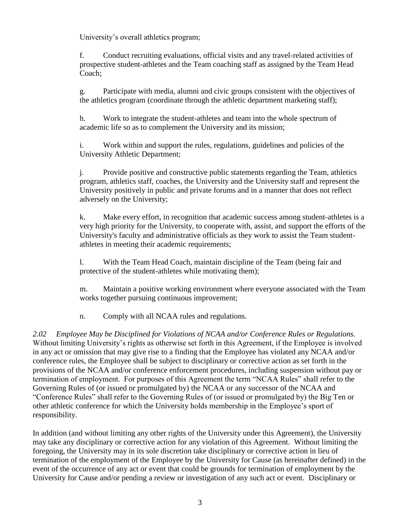University's overall athletics program;

f. Conduct recruiting evaluations, official visits and any travel-related activities of prospective student-athletes and the Team coaching staff as assigned by the Team Head Coach;

g. Participate with media, alumni and civic groups consistent with the objectives of the athletics program (coordinate through the athletic department marketing staff);

h. Work to integrate the student-athletes and team into the whole spectrum of academic life so as to complement the University and its mission;

i. Work within and support the rules, regulations, guidelines and policies of the University Athletic Department;

j. Provide positive and constructive public statements regarding the Team, athletics program, athletics staff, coaches, the University and the University staff and represent the University positively in public and private forums and in a manner that does not reflect adversely on the University;

k. Make every effort, in recognition that academic success among student-athletes is a very high priority for the University, to cooperate with, assist, and support the efforts of the University's faculty and administrative officials as they work to assist the Team studentathletes in meeting their academic requirements;

l. With the Team Head Coach, maintain discipline of the Team (being fair and protective of the student-athletes while motivating them);

m. Maintain a positive working environment where everyone associated with the Team works together pursuing continuous improvement;

n. Comply with all NCAA rules and regulations.

*2.02 Employee May be Disciplined for Violations of NCAA and/or Conference Rules or Regulations.*  Without limiting University's rights as otherwise set forth in this Agreement, if the Employee is involved in any act or omission that may give rise to a finding that the Employee has violated any NCAA and/or conference rules, the Employee shall be subject to disciplinary or corrective action as set forth in the provisions of the NCAA and/or conference enforcement procedures, including suspension without pay or termination of employment. For purposes of this Agreement the term "NCAA Rules" shall refer to the Governing Rules of (or issued or promulgated by) the NCAA or any successor of the NCAA and "Conference Rules" shall refer to the Governing Rules of (or issued or promulgated by) the Big Ten or other athletic conference for which the University holds membership in the Employee's sport of responsibility.

In addition (and without limiting any other rights of the University under this Agreement), the University may take any disciplinary or corrective action for any violation of this Agreement. Without limiting the foregoing, the University may in its sole discretion take disciplinary or corrective action in lieu of termination of the employment of the Employee by the University for Cause (as hereinafter defined) in the event of the occurrence of any act or event that could be grounds for termination of employment by the University for Cause and/or pending a review or investigation of any such act or event. Disciplinary or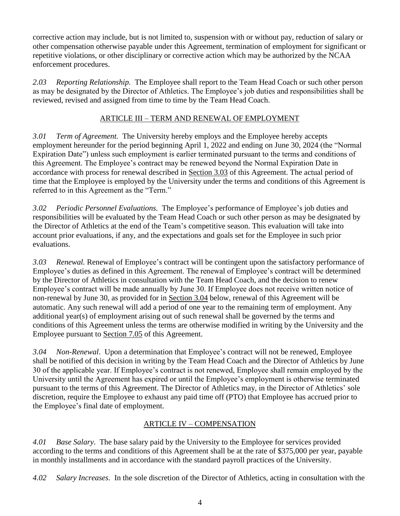corrective action may include, but is not limited to, suspension with or without pay, reduction of salary or other compensation otherwise payable under this Agreement, termination of employment for significant or repetitive violations, or other disciplinary or corrective action which may be authorized by the NCAA enforcement procedures.

*2.03 Reporting Relationship.* The Employee shall report to the Team Head Coach or such other person as may be designated by the Director of Athletics. The Employee's job duties and responsibilities shall be reviewed, revised and assigned from time to time by the Team Head Coach.

## ARTICLE III – TERM AND RENEWAL OF EMPLOYMENT

*3.01 Term of Agreement.* The University hereby employs and the Employee hereby accepts employment hereunder for the period beginning April 1, 2022 and ending on June 30, 2024 (the "Normal Expiration Date") unless such employment is earlier terminated pursuant to the terms and conditions of this Agreement. The Employee's contract may be renewed beyond the Normal Expiration Date in accordance with process for renewal described in Section 3.03 of this Agreement. The actual period of time that the Employee is employed by the University under the terms and conditions of this Agreement is referred to in this Agreement as the "Term."

*3.02 Periodic Personnel Evaluations.* The Employee's performance of Employee's job duties and responsibilities will be evaluated by the Team Head Coach or such other person as may be designated by the Director of Athletics at the end of the Team's competitive season. This evaluation will take into account prior evaluations, if any, and the expectations and goals set for the Employee in such prior evaluations.

*3.03 Renewal.* Renewal of Employee's contract will be contingent upon the satisfactory performance of Employee's duties as defined in this Agreement. The renewal of Employee's contract will be determined by the Director of Athletics in consultation with the Team Head Coach, and the decision to renew Employee's contract will be made annually by June 30. If Employee does not receive written notice of non-renewal by June 30, as provided for in Section 3.04 below, renewal of this Agreement will be automatic. Any such renewal will add a period of one year to the remaining term of employment. Any additional year(s) of employment arising out of such renewal shall be governed by the terms and conditions of this Agreement unless the terms are otherwise modified in writing by the University and the Employee pursuant to Section 7.05 of this Agreement.

*3.04 Non-Renewal*. Upon a determination that Employee's contract will not be renewed, Employee shall be notified of this decision in writing by the Team Head Coach and the Director of Athletics by June 30 of the applicable year. If Employee's contract is not renewed, Employee shall remain employed by the University until the Agreement has expired or until the Employee's employment is otherwise terminated pursuant to the terms of this Agreement. The Director of Athletics may, in the Director of Athletics' sole discretion, require the Employee to exhaust any paid time off (PTO) that Employee has accrued prior to the Employee's final date of employment.

## ARTICLE IV – COMPENSATION

*4.01 Base Salary*. The base salary paid by the University to the Employee for services provided according to the terms and conditions of this Agreement shall be at the rate of \$375,000 per year, payable in monthly installments and in accordance with the standard payroll practices of the University.

*4.02 Salary Increases*. In the sole discretion of the Director of Athletics, acting in consultation with the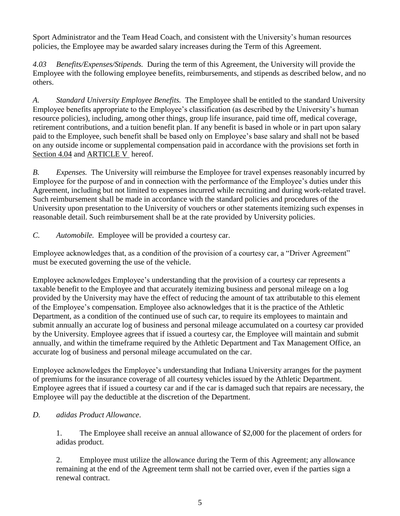Sport Administrator and the Team Head Coach, and consistent with the University's human resources policies, the Employee may be awarded salary increases during the Term of this Agreement.

*4.03 Benefits/Expenses/Stipends.* During the term of this Agreement, the University will provide the Employee with the following employee benefits, reimbursements, and stipends as described below, and no others.

*A. Standard University Employee Benefits.* The Employee shall be entitled to the standard University Employee benefits appropriate to the Employee's classification (as described by the University's human resource policies), including, among other things, group life insurance, paid time off, medical coverage, retirement contributions, and a tuition benefit plan. If any benefit is based in whole or in part upon salary paid to the Employee, such benefit shall be based only on Employee's base salary and shall not be based on any outside income or supplemental compensation paid in accordance with the provisions set forth in Section 4.04 and ARTICLE V hereof.

*B. Expenses.* The University will reimburse the Employee for travel expenses reasonably incurred by Employee for the purpose of and in connection with the performance of the Employee's duties under this Agreement, including but not limited to expenses incurred while recruiting and during work-related travel. Such reimbursement shall be made in accordance with the standard policies and procedures of the University upon presentation to the University of vouchers or other statements itemizing such expenses in reasonable detail. Such reimbursement shall be at the rate provided by University policies.

*C. Automobile.* Employee will be provided a courtesy car.

Employee acknowledges that, as a condition of the provision of a courtesy car, a "Driver Agreement" must be executed governing the use of the vehicle.

Employee acknowledges Employee's understanding that the provision of a courtesy car represents a taxable benefit to the Employee and that accurately itemizing business and personal mileage on a log provided by the University may have the effect of reducing the amount of tax attributable to this element of the Employee's compensation. Employee also acknowledges that it is the practice of the Athletic Department, as a condition of the continued use of such car, to require its employees to maintain and submit annually an accurate log of business and personal mileage accumulated on a courtesy car provided by the University. Employee agrees that if issued a courtesy car, the Employee will maintain and submit annually, and within the timeframe required by the Athletic Department and Tax Management Office, an accurate log of business and personal mileage accumulated on the car.

Employee acknowledges the Employee's understanding that Indiana University arranges for the payment of premiums for the insurance coverage of all courtesy vehicles issued by the Athletic Department. Employee agrees that if issued a courtesy car and if the car is damaged such that repairs are necessary, the Employee will pay the deductible at the discretion of the Department.

## *D. adidas Product Allowance*.

1. The Employee shall receive an annual allowance of \$2,000 for the placement of orders for adidas product.

2. Employee must utilize the allowance during the Term of this Agreement; any allowance remaining at the end of the Agreement term shall not be carried over, even if the parties sign a renewal contract.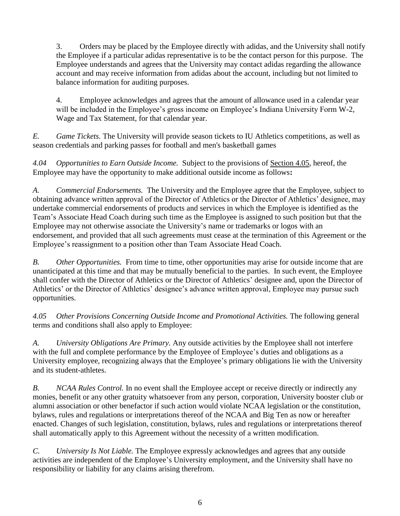3. Orders may be placed by the Employee directly with adidas, and the University shall notify the Employee if a particular adidas representative is to be the contact person for this purpose. The Employee understands and agrees that the University may contact adidas regarding the allowance account and may receive information from adidas about the account, including but not limited to balance information for auditing purposes.

4. Employee acknowledges and agrees that the amount of allowance used in a calendar year will be included in the Employee's gross income on Employee's Indiana University Form W-2, Wage and Tax Statement, for that calendar year.

*E. Game Tickets.* The University will provide season tickets to IU Athletics competitions, as well as season credentials and parking passes for football and men's basketball games

*4.04 Opportunities to Earn Outside Income.* Subject to the provisions of Section 4.05, hereof, the Employee may have the opportunity to make additional outside income as follows**:**

*A. Commercial Endorsements.* The University and the Employee agree that the Employee, subject to obtaining advance written approval of the Director of Athletics or the Director of Athletics' designee, may undertake commercial endorsements of products and services in which the Employee is identified as the Team's Associate Head Coach during such time as the Employee is assigned to such position but that the Employee may not otherwise associate the University's name or trademarks or logos with an endorsement, and provided that all such agreements must cease at the termination of this Agreement or the Employee's reassignment to a position other than Team Associate Head Coach.

*B. Other Opportunities.* From time to time, other opportunities may arise for outside income that are unanticipated at this time and that may be mutually beneficial to the parties. In such event, the Employee shall confer with the Director of Athletics or the Director of Athletics' designee and, upon the Director of Athletics' or the Director of Athletics' designee's advance written approval, Employee may pursue such opportunities.

*4.05 Other Provisions Concerning Outside Income and Promotional Activities.* The following general terms and conditions shall also apply to Employee:

*A. University Obligations Are Primary.* Any outside activities by the Employee shall not interfere with the full and complete performance by the Employee of Employee's duties and obligations as a University employee, recognizing always that the Employee's primary obligations lie with the University and its student-athletes.

*B. NCAA Rules Control.* In no event shall the Employee accept or receive directly or indirectly any monies, benefit or any other gratuity whatsoever from any person, corporation, University booster club or alumni association or other benefactor if such action would violate NCAA legislation or the constitution, bylaws, rules and regulations or interpretations thereof of the NCAA and Big Ten as now or hereafter enacted. Changes of such legislation, constitution, bylaws, rules and regulations or interpretations thereof shall automatically apply to this Agreement without the necessity of a written modification.

*C. University Is Not Liable.* The Employee expressly acknowledges and agrees that any outside activities are independent of the Employee's University employment, and the University shall have no responsibility or liability for any claims arising therefrom.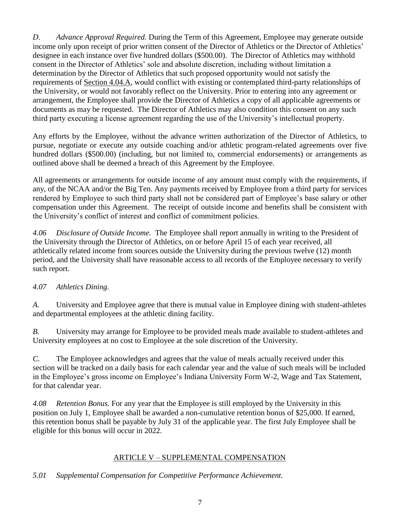*D. Advance Approval Required.* During the Term of this Agreement, Employee may generate outside income only upon receipt of prior written consent of the Director of Athletics or the Director of Athletics' designee in each instance over five hundred dollars (\$500.00). The Director of Athletics may withhold consent in the Director of Athletics' sole and absolute discretion, including without limitation a determination by the Director of Athletics that such proposed opportunity would not satisfy the requirements of Section 4.04.A, would conflict with existing or contemplated third-party relationships of the University, or would not favorably reflect on the University. Prior to entering into any agreement or arrangement, the Employee shall provide the Director of Athletics a copy of all applicable agreements or documents as may be requested. The Director of Athletics may also condition this consent on any such third party executing a license agreement regarding the use of the University's intellectual property.

Any efforts by the Employee, without the advance written authorization of the Director of Athletics, to pursue, negotiate or execute any outside coaching and/or athletic program-related agreements over five hundred dollars (\$500.00) (including, but not limited to, commercial endorsements) or arrangements as outlined above shall be deemed a breach of this Agreement by the Employee.

All agreements or arrangements for outside income of any amount must comply with the requirements, if any, of the NCAA and/or the Big Ten. Any payments received by Employee from a third party for services rendered by Employee to such third party shall not be considered part of Employee's base salary or other compensation under this Agreement. The receipt of outside income and benefits shall be consistent with the University's conflict of interest and conflict of commitment policies.

*4.06 Disclosure of Outside Income.* The Employee shall report annually in writing to the President of the University through the Director of Athletics, on or before April 15 of each year received, all athletically related income from sources outside the University during the previous twelve (12) month period, and the University shall have reasonable access to all records of the Employee necessary to verify such report.

## *4.07 Athletics Dining.*

*A.* University and Employee agree that there is mutual value in Employee dining with student-athletes and departmental employees at the athletic dining facility.

*B.* University may arrange for Employee to be provided meals made available to student-athletes and University employees at no cost to Employee at the sole discretion of the University.

*C.* The Employee acknowledges and agrees that the value of meals actually received under this section will be tracked on a daily basis for each calendar year and the value of such meals will be included in the Employee's gross income on Employee's Indiana University Form W-2, Wage and Tax Statement, for that calendar year.

*4.08 Retention Bonus.* For any year that the Employee is still employed by the University in this position on July 1, Employee shall be awarded a non-cumulative retention bonus of \$25,000. If earned, this retention bonus shall be payable by July 31 of the applicable year. The first July Employee shall be eligible for this bonus will occur in 2022.

## ARTICLE V – SUPPLEMENTAL COMPENSATION

*5.01 Supplemental Compensation for Competitive Performance Achievement.*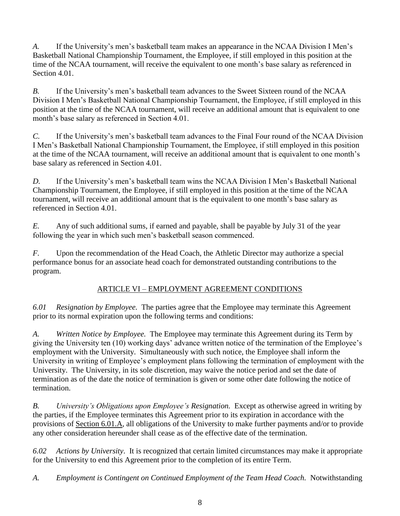*A.* If the University's men's basketball team makes an appearance in the NCAA Division I Men's Basketball National Championship Tournament, the Employee, if still employed in this position at the time of the NCAA tournament, will receive the equivalent to one month's base salary as referenced in Section 4.01.

*B.* If the University's men's basketball team advances to the Sweet Sixteen round of the NCAA Division I Men's Basketball National Championship Tournament, the Employee, if still employed in this position at the time of the NCAA tournament, will receive an additional amount that is equivalent to one month's base salary as referenced in Section 4.01.

*C.* If the University's men's basketball team advances to the Final Four round of the NCAA Division I Men's Basketball National Championship Tournament, the Employee, if still employed in this position at the time of the NCAA tournament, will receive an additional amount that is equivalent to one month's base salary as referenced in Section 4.01.

*D.* If the University's men's basketball team wins the NCAA Division I Men's Basketball National Championship Tournament, the Employee, if still employed in this position at the time of the NCAA tournament, will receive an additional amount that is the equivalent to one month's base salary as referenced in Section 4.01.

*E.* Any of such additional sums, if earned and payable, shall be payable by July 31 of the year following the year in which such men's basketball season commenced.

*F.* Upon the recommendation of the Head Coach, the Athletic Director may authorize a special performance bonus for an associate head coach for demonstrated outstanding contributions to the program.

# ARTICLE VI – EMPLOYMENT AGREEMENT CONDITIONS

*6.01 Resignation by Employee.* The parties agree that the Employee may terminate this Agreement prior to its normal expiration upon the following terms and conditions:

*A. Written Notice by Employee.* The Employee may terminate this Agreement during its Term by giving the University ten (10) working days' advance written notice of the termination of the Employee's employment with the University. Simultaneously with such notice, the Employee shall inform the University in writing of Employee's employment plans following the termination of employment with the University. The University, in its sole discretion, may waive the notice period and set the date of termination as of the date the notice of termination is given or some other date following the notice of termination.

*B. University's Obligations upon Employee's Resignation.* Except as otherwise agreed in writing by the parties, if the Employee terminates this Agreement prior to its expiration in accordance with the provisions of Section 6.01.A, all obligations of the University to make further payments and/or to provide any other consideration hereunder shall cease as of the effective date of the termination.

*6.02 Actions by University*. It is recognized that certain limited circumstances may make it appropriate for the University to end this Agreement prior to the completion of its entire Term.

*A. Employment is Contingent on Continued Employment of the Team Head Coach.* Notwithstanding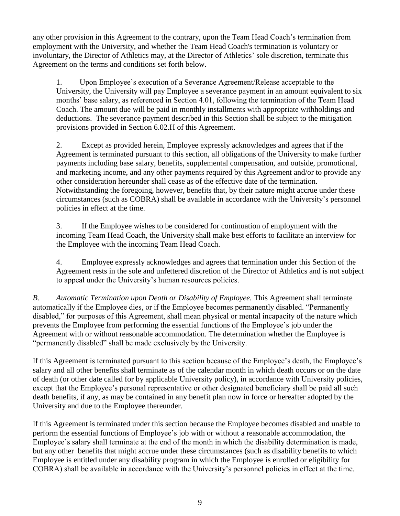any other provision in this Agreement to the contrary, upon the Team Head Coach's termination from employment with the University, and whether the Team Head Coach's termination is voluntary or involuntary, the Director of Athletics may, at the Director of Athletics' sole discretion, terminate this Agreement on the terms and conditions set forth below.

1. Upon Employee's execution of a Severance Agreement/Release acceptable to the University, the University will pay Employee a severance payment in an amount equivalent to six months' base salary, as referenced in Section 4.01, following the termination of the Team Head Coach. The amount due will be paid in monthly installments with appropriate withholdings and deductions. The severance payment described in this Section shall be subject to the mitigation provisions provided in Section 6.02.H of this Agreement.

2. Except as provided herein, Employee expressly acknowledges and agrees that if the Agreement is terminated pursuant to this section, all obligations of the University to make further payments including base salary, benefits, supplemental compensation, and outside, promotional, and marketing income, and any other payments required by this Agreement and/or to provide any other consideration hereunder shall cease as of the effective date of the termination. Notwithstanding the foregoing, however, benefits that, by their nature might accrue under these circumstances (such as COBRA) shall be available in accordance with the University's personnel policies in effect at the time.

3. If the Employee wishes to be considered for continuation of employment with the incoming Team Head Coach, the University shall make best efforts to facilitate an interview for the Employee with the incoming Team Head Coach.

4. Employee expressly acknowledges and agrees that termination under this Section of the Agreement rests in the sole and unfettered discretion of the Director of Athletics and is not subject to appeal under the University's human resources policies.

*B. Automatic Termination upon Death or Disability of Employee.* This Agreement shall terminate automatically if the Employee dies, or if the Employee becomes permanently disabled. "Permanently disabled," for purposes of this Agreement, shall mean physical or mental incapacity of the nature which prevents the Employee from performing the essential functions of the Employee's job under the Agreement with or without reasonable accommodation. The determination whether the Employee is "permanently disabled" shall be made exclusively by the University.

If this Agreement is terminated pursuant to this section because of the Employee's death, the Employee's salary and all other benefits shall terminate as of the calendar month in which death occurs or on the date of death (or other date called for by applicable University policy), in accordance with University policies, except that the Employee's personal representative or other designated beneficiary shall be paid all such death benefits, if any, as may be contained in any benefit plan now in force or hereafter adopted by the University and due to the Employee thereunder.

If this Agreement is terminated under this section because the Employee becomes disabled and unable to perform the essential functions of Employee's job with or without a reasonable accommodation, the Employee's salary shall terminate at the end of the month in which the disability determination is made, but any other benefits that might accrue under these circumstances (such as disability benefits to which Employee is entitled under any disability program in which the Employee is enrolled or eligibility for COBRA) shall be available in accordance with the University's personnel policies in effect at the time.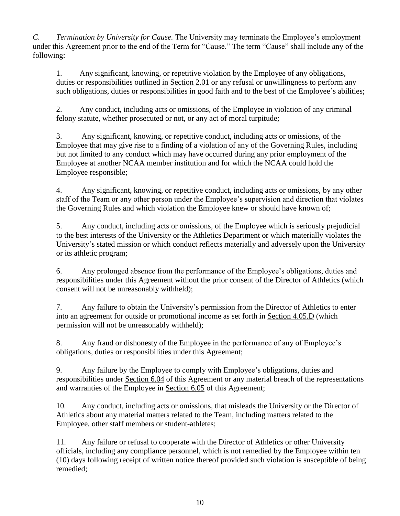*C. Termination by University for Cause.* The University may terminate the Employee's employment under this Agreement prior to the end of the Term for "Cause." The term "Cause" shall include any of the following:

1. Any significant, knowing, or repetitive violation by the Employee of any obligations, duties or responsibilities outlined in Section 2.01 or any refusal or unwillingness to perform any such obligations, duties or responsibilities in good faith and to the best of the Employee's abilities;

2. Any conduct, including acts or omissions, of the Employee in violation of any criminal felony statute, whether prosecuted or not, or any act of moral turpitude;

3. Any significant, knowing, or repetitive conduct, including acts or omissions, of the Employee that may give rise to a finding of a violation of any of the Governing Rules, including but not limited to any conduct which may have occurred during any prior employment of the Employee at another NCAA member institution and for which the NCAA could hold the Employee responsible;

4. Any significant, knowing, or repetitive conduct, including acts or omissions, by any other staff of the Team or any other person under the Employee's supervision and direction that violates the Governing Rules and which violation the Employee knew or should have known of;

5. Any conduct, including acts or omissions, of the Employee which is seriously prejudicial to the best interests of the University or the Athletics Department or which materially violates the University's stated mission or which conduct reflects materially and adversely upon the University or its athletic program;

6. Any prolonged absence from the performance of the Employee's obligations, duties and responsibilities under this Agreement without the prior consent of the Director of Athletics (which consent will not be unreasonably withheld);

7. Any failure to obtain the University's permission from the Director of Athletics to enter into an agreement for outside or promotional income as set forth in Section 4.05.D (which permission will not be unreasonably withheld);

8. Any fraud or dishonesty of the Employee in the performance of any of Employee's obligations, duties or responsibilities under this Agreement;

9. Any failure by the Employee to comply with Employee's obligations, duties and responsibilities under Section 6.04 of this Agreement or any material breach of the representations and warranties of the Employee in Section 6.05 of this Agreement;

10. Any conduct, including acts or omissions, that misleads the University or the Director of Athletics about any material matters related to the Team, including matters related to the Employee, other staff members or student-athletes;

11. Any failure or refusal to cooperate with the Director of Athletics or other University officials, including any compliance personnel, which is not remedied by the Employee within ten (10) days following receipt of written notice thereof provided such violation is susceptible of being remedied;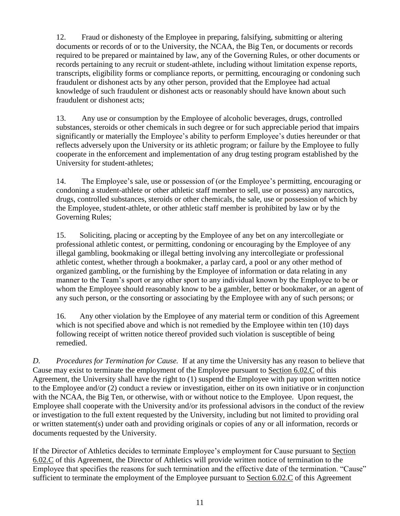12. Fraud or dishonesty of the Employee in preparing, falsifying, submitting or altering documents or records of or to the University, the NCAA, the Big Ten, or documents or records required to be prepared or maintained by law, any of the Governing Rules, or other documents or records pertaining to any recruit or student-athlete, including without limitation expense reports, transcripts, eligibility forms or compliance reports, or permitting, encouraging or condoning such fraudulent or dishonest acts by any other person, provided that the Employee had actual knowledge of such fraudulent or dishonest acts or reasonably should have known about such fraudulent or dishonest acts;

13. Any use or consumption by the Employee of alcoholic beverages, drugs, controlled substances, steroids or other chemicals in such degree or for such appreciable period that impairs significantly or materially the Employee's ability to perform Employee's duties hereunder or that reflects adversely upon the University or its athletic program; or failure by the Employee to fully cooperate in the enforcement and implementation of any drug testing program established by the University for student-athletes;

14. The Employee's sale, use or possession of (or the Employee's permitting, encouraging or condoning a student-athlete or other athletic staff member to sell, use or possess) any narcotics, drugs, controlled substances, steroids or other chemicals, the sale, use or possession of which by the Employee, student-athlete, or other athletic staff member is prohibited by law or by the Governing Rules;

15. Soliciting, placing or accepting by the Employee of any bet on any intercollegiate or professional athletic contest, or permitting, condoning or encouraging by the Employee of any illegal gambling, bookmaking or illegal betting involving any intercollegiate or professional athletic contest, whether through a bookmaker, a parlay card, a pool or any other method of organized gambling, or the furnishing by the Employee of information or data relating in any manner to the Team's sport or any other sport to any individual known by the Employee to be or whom the Employee should reasonably know to be a gambler, better or bookmaker, or an agent of any such person, or the consorting or associating by the Employee with any of such persons; or

16. Any other violation by the Employee of any material term or condition of this Agreement which is not specified above and which is not remedied by the Employee within ten (10) days following receipt of written notice thereof provided such violation is susceptible of being remedied.

*D. Procedures for Termination for Cause.* If at any time the University has any reason to believe that Cause may exist to terminate the employment of the Employee pursuant to Section 6.02.C of this Agreement, the University shall have the right to (1) suspend the Employee with pay upon written notice to the Employee and/or (2) conduct a review or investigation, either on its own initiative or in conjunction with the NCAA, the Big Ten, or otherwise, with or without notice to the Employee. Upon request, the Employee shall cooperate with the University and/or its professional advisors in the conduct of the review or investigation to the full extent requested by the University, including but not limited to providing oral or written statement(s) under oath and providing originals or copies of any or all information, records or documents requested by the University.

If the Director of Athletics decides to terminate Employee's employment for Cause pursuant to Section 6.02.C of this Agreement, the Director of Athletics will provide written notice of termination to the Employee that specifies the reasons for such termination and the effective date of the termination. "Cause" sufficient to terminate the employment of the Employee pursuant to Section 6.02.C of this Agreement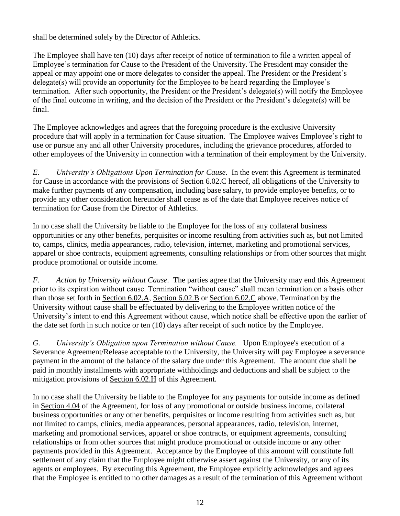shall be determined solely by the Director of Athletics.

The Employee shall have ten (10) days after receipt of notice of termination to file a written appeal of Employee's termination for Cause to the President of the University. The President may consider the appeal or may appoint one or more delegates to consider the appeal. The President or the President's delegate(s) will provide an opportunity for the Employee to be heard regarding the Employee's termination. After such opportunity, the President or the President's delegate(s) will notify the Employee of the final outcome in writing, and the decision of the President or the President's delegate(s) will be final.

The Employee acknowledges and agrees that the foregoing procedure is the exclusive University procedure that will apply in a termination for Cause situation. The Employee waives Employee's right to use or pursue any and all other University procedures, including the grievance procedures, afforded to other employees of the University in connection with a termination of their employment by the University.

*E. University's Obligations Upon Termination for Cause.* In the event this Agreement is terminated for Cause in accordance with the provisions of Section 6.02.C hereof, all obligations of the University to make further payments of any compensation, including base salary, to provide employee benefits, or to provide any other consideration hereunder shall cease as of the date that Employee receives notice of termination for Cause from the Director of Athletics.

In no case shall the University be liable to the Employee for the loss of any collateral business opportunities or any other benefits, perquisites or income resulting from activities such as, but not limited to, camps, clinics, media appearances, radio, television, internet, marketing and promotional services, apparel or shoe contracts, equipment agreements, consulting relationships or from other sources that might produce promotional or outside income.

*F. Action by University without Cause.* The parties agree that the University may end this Agreement prior to its expiration without cause. Termination "without cause" shall mean termination on a basis other than those set forth in Section 6.02.A, Section 6.02.B or Section 6.02.C above. Termination by the University without cause shall be effectuated by delivering to the Employee written notice of the University's intent to end this Agreement without cause, which notice shall be effective upon the earlier of the date set forth in such notice or ten (10) days after receipt of such notice by the Employee.

*G. University's Obligation upon Termination without Cause.* Upon Employee's execution of a Severance Agreement/Release acceptable to the University, the University will pay Employee a severance payment in the amount of the balance of the salary due under this Agreement. The amount due shall be paid in monthly installments with appropriate withholdings and deductions and shall be subject to the mitigation provisions of Section 6.02.H of this Agreement.

In no case shall the University be liable to the Employee for any payments for outside income as defined in Section 4.04 of the Agreement, for loss of any promotional or outside business income, collateral business opportunities or any other benefits, perquisites or income resulting from activities such as, but not limited to camps, clinics, media appearances, personal appearances, radio, television, internet, marketing and promotional services, apparel or shoe contracts, or equipment agreements, consulting relationships or from other sources that might produce promotional or outside income or any other payments provided in this Agreement. Acceptance by the Employee of this amount will constitute full settlement of any claim that the Employee might otherwise assert against the University, or any of its agents or employees. By executing this Agreement, the Employee explicitly acknowledges and agrees that the Employee is entitled to no other damages as a result of the termination of this Agreement without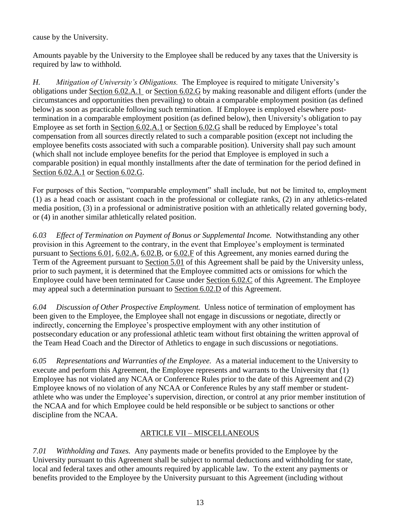cause by the University.

Amounts payable by the University to the Employee shall be reduced by any taxes that the University is required by law to withhold.

*H. Mitigation of University's Obligations.* The Employee is required to mitigate University's obligations under Section 6.02.A.1 or Section 6.02.G by making reasonable and diligent efforts (under the circumstances and opportunities then prevailing) to obtain a comparable employment position (as defined below) as soon as practicable following such termination. If Employee is employed elsewhere posttermination in a comparable employment position (as defined below), then University's obligation to pay Employee as set forth in Section 6.02.A.1 or Section 6.02.G shall be reduced by Employee's total compensation from all sources directly related to such a comparable position (except not including the employee benefits costs associated with such a comparable position). University shall pay such amount (which shall not include employee benefits for the period that Employee is employed in such a comparable position) in equal monthly installments after the date of termination for the period defined in Section 6.02.A.1 or Section 6.02.G.

For purposes of this Section, "comparable employment" shall include, but not be limited to, employment (1) as a head coach or assistant coach in the professional or collegiate ranks, (2) in any athletics-related media position, (3) in a professional or administrative position with an athletically related governing body, or (4) in another similar athletically related position.

*6.03 Effect of Termination on Payment of Bonus or Supplemental Income.* Notwithstanding any other provision in this Agreement to the contrary, in the event that Employee's employment is terminated pursuant to Sections 6.01, 6.02.A, 6.02.B, or 6.02.F of this Agreement, any monies earned during the Term of the Agreement pursuant to Section 5.01 of this Agreement shall be paid by the University unless, prior to such payment, it is determined that the Employee committed acts or omissions for which the Employee could have been terminated for Cause under Section 6.02.C of this Agreement. The Employee may appeal such a determination pursuant to Section 6.02.D of this Agreement.

*6.04 Discussion of Other Prospective Employment.* Unless notice of termination of employment has been given to the Employee, the Employee shall not engage in discussions or negotiate, directly or indirectly, concerning the Employee's prospective employment with any other institution of postsecondary education or any professional athletic team without first obtaining the written approval of the Team Head Coach and the Director of Athletics to engage in such discussions or negotiations.

*6.05 Representations and Warranties of the Employee.* As a material inducement to the University to execute and perform this Agreement, the Employee represents and warrants to the University that (1) Employee has not violated any NCAA or Conference Rules prior to the date of this Agreement and (2) Employee knows of no violation of any NCAA or Conference Rules by any staff member or studentathlete who was under the Employee's supervision, direction, or control at any prior member institution of the NCAA and for which Employee could be held responsible or be subject to sanctions or other discipline from the NCAA.

## ARTICLE VII – MISCELLANEOUS

*7.01 Withholding and Taxes.* Any payments made or benefits provided to the Employee by the University pursuant to this Agreement shall be subject to normal deductions and withholding for state, local and federal taxes and other amounts required by applicable law. To the extent any payments or benefits provided to the Employee by the University pursuant to this Agreement (including without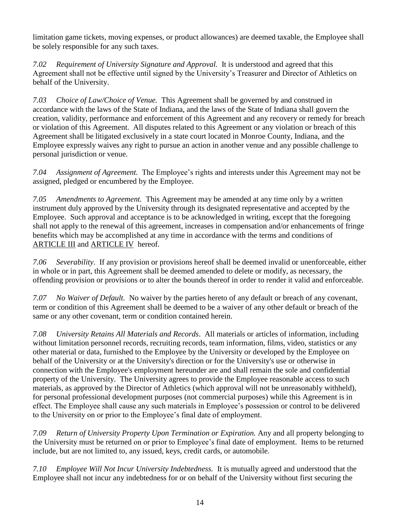limitation game tickets, moving expenses, or product allowances) are deemed taxable, the Employee shall be solely responsible for any such taxes.

*7.02 Requirement of University Signature and Approval.* It is understood and agreed that this Agreement shall not be effective until signed by the University's Treasurer and Director of Athletics on behalf of the University.

*7.03 Choice of Law/Choice of Venue.* This Agreement shall be governed by and construed in accordance with the laws of the State of Indiana, and the laws of the State of Indiana shall govern the creation, validity, performance and enforcement of this Agreement and any recovery or remedy for breach or violation of this Agreement. All disputes related to this Agreement or any violation or breach of this Agreement shall be litigated exclusively in a state court located in Monroe County, Indiana, and the Employee expressly waives any right to pursue an action in another venue and any possible challenge to personal jurisdiction or venue.

*7.04 Assignment of Agreement.* The Employee's rights and interests under this Agreement may not be assigned, pledged or encumbered by the Employee.

*7.05 Amendments to Agreement.* This Agreement may be amended at any time only by a written instrument duly approved by the University through its designated representative and accepted by the Employee. Such approval and acceptance is to be acknowledged in writing, except that the foregoing shall not apply to the renewal of this agreement, increases in compensation and/or enhancements of fringe benefits which may be accomplished at any time in accordance with the terms and conditions of ARTICLE III and ARTICLE IV hereof.

*7.06 Severability*. If any provision or provisions hereof shall be deemed invalid or unenforceable, either in whole or in part, this Agreement shall be deemed amended to delete or modify, as necessary, the offending provision or provisions or to alter the bounds thereof in order to render it valid and enforceable.

*7.07 No Waiver of Default.* No waiver by the parties hereto of any default or breach of any covenant, term or condition of this Agreement shall be deemed to be a waiver of any other default or breach of the same or any other covenant, term or condition contained herein.

*7.08 University Retains All Materials and Records*. All materials or articles of information, including without limitation personnel records, recruiting records, team information, films, video, statistics or any other material or data, furnished to the Employee by the University or developed by the Employee on behalf of the University or at the University's direction or for the University's use or otherwise in connection with the Employee's employment hereunder are and shall remain the sole and confidential property of the University. The University agrees to provide the Employee reasonable access to such materials, as approved by the Director of Athletics (which approval will not be unreasonably withheld), for personal professional development purposes (not commercial purposes) while this Agreement is in effect. The Employee shall cause any such materials in Employee's possession or control to be delivered to the University on or prior to the Employee's final date of employment.

*7.09 Return of University Property Upon Termination or Expiration.* Any and all property belonging to the University must be returned on or prior to Employee's final date of employment. Items to be returned include, but are not limited to, any issued, keys, credit cards, or automobile.

*7.10 Employee Will Not Incur University Indebtedness.* It is mutually agreed and understood that the Employee shall not incur any indebtedness for or on behalf of the University without first securing the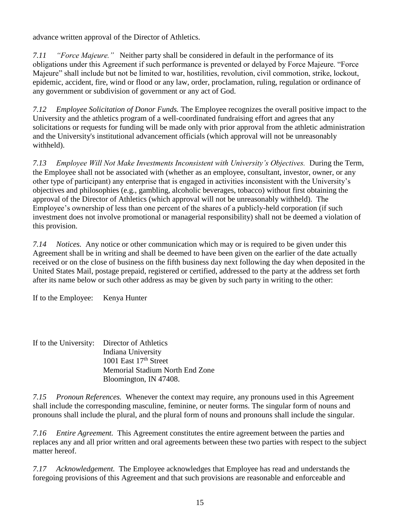advance written approval of the Director of Athletics.

*7.11 "Force Majeure."* Neither party shall be considered in default in the performance of its obligations under this Agreement if such performance is prevented or delayed by Force Majeure. "Force Majeure" shall include but not be limited to war, hostilities, revolution, civil commotion, strike, lockout, epidemic, accident, fire, wind or flood or any law, order, proclamation, ruling, regulation or ordinance of any government or subdivision of government or any act of God.

*7.12 Employee Solicitation of Donor Funds.* The Employee recognizes the overall positive impact to the University and the athletics program of a well-coordinated fundraising effort and agrees that any solicitations or requests for funding will be made only with prior approval from the athletic administration and the University's institutional advancement officials (which approval will not be unreasonably withheld).

*7.13 Employee Will Not Make Investments Inconsistent with University's Objectives.* During the Term, the Employee shall not be associated with (whether as an employee, consultant, investor, owner, or any other type of participant) any enterprise that is engaged in activities inconsistent with the University's objectives and philosophies (e.g., gambling, alcoholic beverages, tobacco) without first obtaining the approval of the Director of Athletics (which approval will not be unreasonably withheld). The Employee's ownership of less than one percent of the shares of a publicly-held corporation (if such investment does not involve promotional or managerial responsibility) shall not be deemed a violation of this provision.

*7.14 Notices.* Any notice or other communication which may or is required to be given under this Agreement shall be in writing and shall be deemed to have been given on the earlier of the date actually received or on the close of business on the fifth business day next following the day when deposited in the United States Mail, postage prepaid, registered or certified, addressed to the party at the address set forth after its name below or such other address as may be given by such party in writing to the other:

If to the Employee: Kenya Hunter

If to the University: Director of Athletics Indiana University 1001 East  $17<sup>th</sup>$  Street Memorial Stadium North End Zone Bloomington, IN 47408.

*7.15 Pronoun References.* Whenever the context may require, any pronouns used in this Agreement shall include the corresponding masculine, feminine, or neuter forms. The singular form of nouns and pronouns shall include the plural, and the plural form of nouns and pronouns shall include the singular.

*7.16 Entire Agreement.* This Agreement constitutes the entire agreement between the parties and replaces any and all prior written and oral agreements between these two parties with respect to the subject matter hereof.

*7.17 Acknowledgement.* The Employee acknowledges that Employee has read and understands the foregoing provisions of this Agreement and that such provisions are reasonable and enforceable and